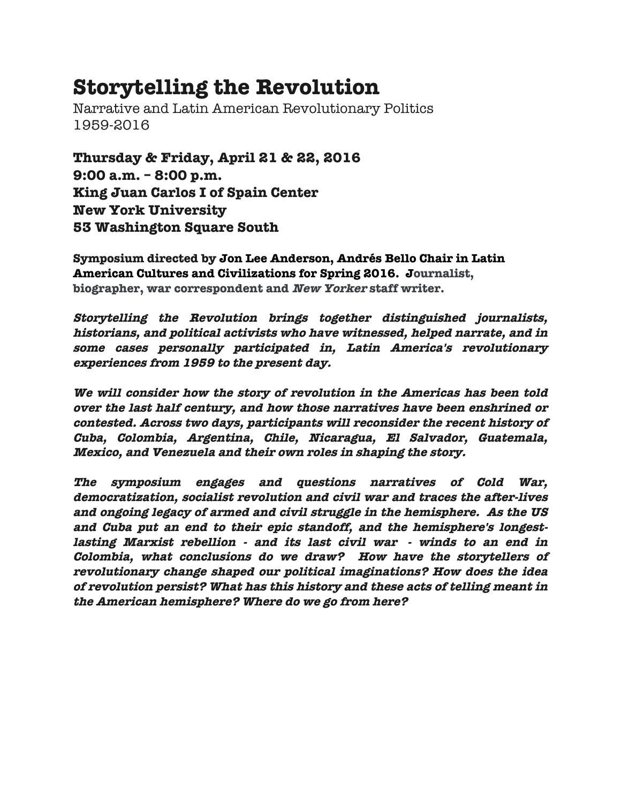## **Storytelling the Revolution**

Narrative and Latin American Revolutionary Politics 1959-2016

**Thursday & Friday, April 21 & 22, 2016 9:00 a.m. – 8:00 p.m. King Juan Carlos I of Spain Center New York University 53 Washington Square South**

**Symposium directed by Jon Lee Anderson, Andrés Bello Chair in Latin American Cultures and Civilizations for Spring 2016. Journalist, biographer, war correspondent and New Yorker staff writer.**

**Storytelling the Revolution brings together distinguished journalists, historians, and political activists who have witnessed, helped narrate, and in some cases personally participated in, Latin America's revolutionary experiences from 1959 to the present day.** 

**We will consider how the story of revolution in the Americas has been told over the last half century, and how those narratives have been enshrined or contested. Across two days, participants will reconsider the recent history of Cuba, Colombia, Argentina, Chile, Nicaragua, El Salvador, Guatemala, Mexico, and Venezuela and their own roles in shaping the story.** 

**The symposium engages and questions narratives of Cold War, democratization, socialist revolution and civil war and traces the after-lives and ongoing legacy of armed and civil struggle in the hemisphere. As the US and Cuba put an end to their epic standoff, and the hemisphere's longestlasting Marxist rebellion - and its last civil war - winds to an end in Colombia, what conclusions do we draw? How have the storytellers of revolutionary change shaped our political imaginations? How does the idea of revolution persist? What has this history and these acts of telling meant in the American hemisphere? Where do we go from here?**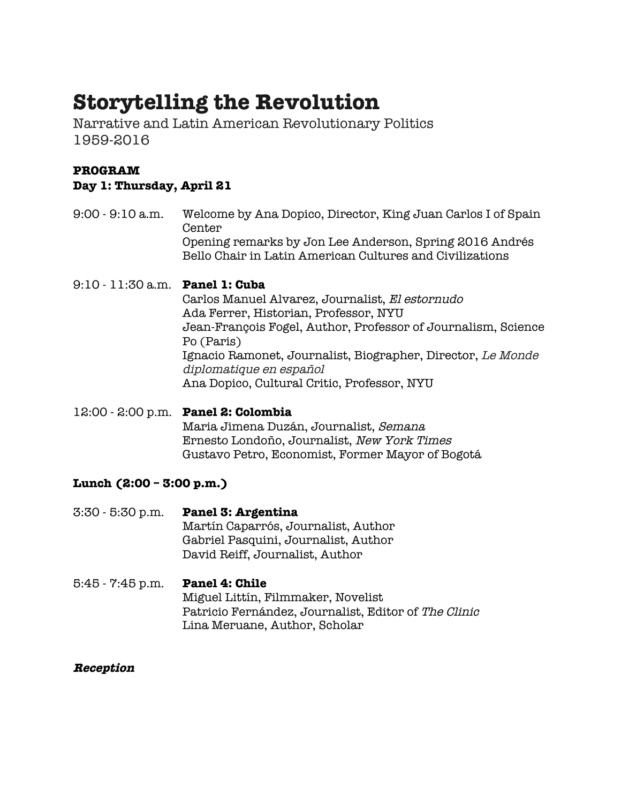# **Storytelling the Revolution**

Narrative and Latin American Revolutionary Politics 1959-2016

### **PROGRAM**

### **Day 1: Thursday, April 21**

9:00 - 9:10 a.m. Welcome by Ana Dopico, Director, King Juan Carlos I of Spain Center Opening remarks by Jon Lee Anderson, Spring 2016 Andrés Bello Chair in Latin American Cultures and Civilizations

9:10 - 11:30 a.m. **Panel 1: Cuba** Carlos Manuel Alvarez, Journalist, El estornudo Ada Ferrer, Historian, Professor, NYU Jean-François Fogel, Author, Professor of Journalism, Science Po (Paris) Ignacio Ramonet, Journalist, Biographer, Director, Le Monde diplomatique en español Ana Dopico, Cultural Critic, Professor, NYU

12:00 - 2:00 p.m. **Panel 2: Colombia** Maria Jimena Duzán, Journalist, Semana Ernesto Londoño, Journalist, New York Times Gustavo Petro, Economist, Former Mayor of Bogotá

## **Lunch (2:00 – 3:00 p.m.)**

- 3:30 5:30 p.m. **Panel 3: Argentina** Martín Caparrós, Journalist, Author Gabriel Pasquini, Journalist, Author David Reiff, Journalist, Author
- 5:45 7:45 p.m. **Panel 4: Chile** Miguel Littín, Filmmaker, Novelist Patricio Fernández, Journalist, Editor of The Clinic Lina Meruane, Author, Scholar

### **Reception**